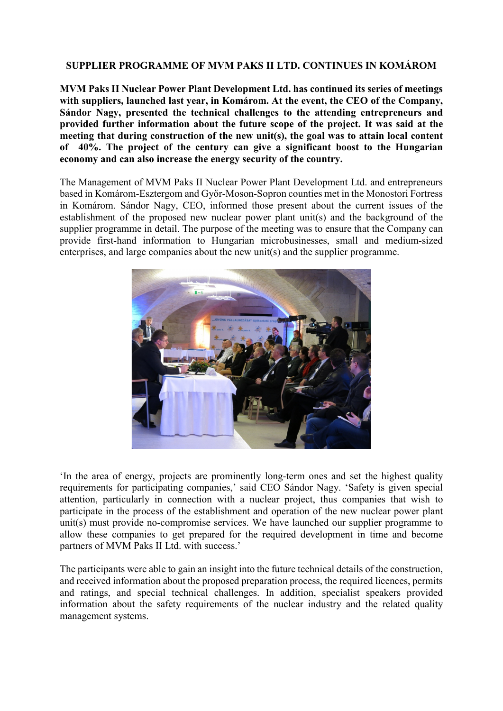## **SUPPLIER PROGRAMME OF MVM PAKS II LTD. CONTINUES IN KOMÁROM**

**MVM Paks II Nuclear Power Plant Development Ltd. has continued its series of meetings with suppliers, launched last year, in Komárom. At the event, the CEO of the Company, Sándor Nagy, presented the technical challenges to the attending entrepreneurs and provided further information about the future scope of the project. It was said at the meeting that during construction of the new unit(s), the goal was to attain local content of 40%. The project of the century can give a significant boost to the Hungarian economy and can also increase the energy security of the country.**

The Management of MVM Paks II Nuclear Power Plant Development Ltd. and entrepreneurs based in Komárom-Esztergom and Győr-Moson-Sopron counties met in the Monostori Fortress in Komárom. Sándor Nagy, CEO, informed those present about the current issues of the establishment of the proposed new nuclear power plant unit(s) and the background of the supplier programme in detail. The purpose of the meeting was to ensure that the Company can provide first-hand information to Hungarian microbusinesses, small and medium-sized enterprises, and large companies about the new unit(s) and the supplier programme.



'In the area of energy, projects are prominently long-term ones and set the highest quality requirements for participating companies,' said CEO Sándor Nagy. 'Safety is given special attention, particularly in connection with a nuclear project, thus companies that wish to participate in the process of the establishment and operation of the new nuclear power plant unit(s) must provide no-compromise services. We have launched our supplier programme to allow these companies to get prepared for the required development in time and become partners of MVM Paks II Ltd. with success.'

The participants were able to gain an insight into the future technical details of the construction, and received information about the proposed preparation process, the required licences, permits and ratings, and special technical challenges. In addition, specialist speakers provided information about the safety requirements of the nuclear industry and the related quality management systems.